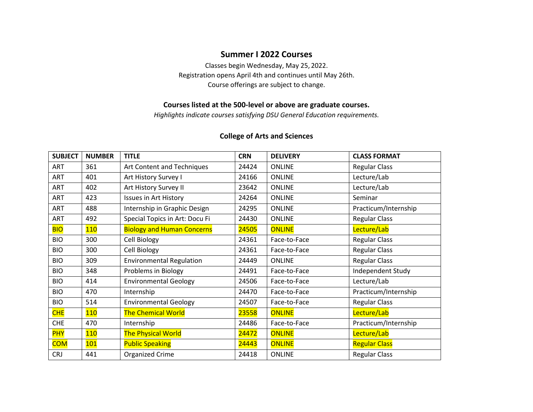### **Summer I 2022 Courses**

Classes begin Wednesday, May 25, 2022. Registration opens April 4th and continues until May 26th. Course offerings are subject to change.

#### **Courses listed at the 500-level or above are graduate courses.**

*Highlights indicate courses satisfying DSU General Education requirements.*

#### **College of Arts and Sciences**

| <b>SUBJECT</b> | <b>NUMBER</b> | <b>TITLE</b>                      | <b>CRN</b> | <b>DELIVERY</b> | <b>CLASS FORMAT</b>  |
|----------------|---------------|-----------------------------------|------------|-----------------|----------------------|
| ART            | 361           | Art Content and Techniques        | 24424      | <b>ONLINE</b>   | <b>Regular Class</b> |
| ART            | 401           | Art History Survey I              | 24166      | <b>ONLINE</b>   | Lecture/Lab          |
| ART            | 402           | Art History Survey II             | 23642      | <b>ONLINE</b>   | Lecture/Lab          |
| ART            | 423           | <b>Issues in Art History</b>      | 24264      | <b>ONLINE</b>   | Seminar              |
| ART            | 488           | Internship in Graphic Design      | 24295      | <b>ONLINE</b>   | Practicum/Internship |
| ART            | 492           | Special Topics in Art: Docu Fi    | 24430      | <b>ONLINE</b>   | <b>Regular Class</b> |
| <b>BIO</b>     | 110           | <b>Biology and Human Concerns</b> | 24505      | <b>ONLINE</b>   | Lecture/Lab          |
| <b>BIO</b>     | 300           | Cell Biology                      | 24361      | Face-to-Face    | <b>Regular Class</b> |
| <b>BIO</b>     | 300           | Cell Biology                      | 24361      | Face-to-Face    | <b>Regular Class</b> |
| <b>BIO</b>     | 309           | <b>Environmental Regulation</b>   | 24449      | <b>ONLINE</b>   | <b>Regular Class</b> |
| <b>BIO</b>     | 348           | Problems in Biology               | 24491      | Face-to-Face    | Independent Study    |
| <b>BIO</b>     | 414           | <b>Environmental Geology</b>      | 24506      | Face-to-Face    | Lecture/Lab          |
| <b>BIO</b>     | 470           | Internship                        | 24470      | Face-to-Face    | Practicum/Internship |
| <b>BIO</b>     | 514           | <b>Environmental Geology</b>      | 24507      | Face-to-Face    | <b>Regular Class</b> |
| <b>CHE</b>     | 110           | <b>The Chemical World</b>         | 23558      | <b>ONLINE</b>   | Lecture/Lab          |
| <b>CHE</b>     | 470           | Internship                        | 24486      | Face-to-Face    | Practicum/Internship |
| <b>PHY</b>     | 110           | <b>The Physical World</b>         | 24472      | <b>ONLINE</b>   | Lecture/Lab          |
| <b>COM</b>     | 101           | <b>Public Speaking</b>            | 24443      | <b>ONLINE</b>   | <b>Regular Class</b> |
| <b>CRJ</b>     | 441           | <b>Organized Crime</b>            | 24418      | <b>ONLINE</b>   | <b>Regular Class</b> |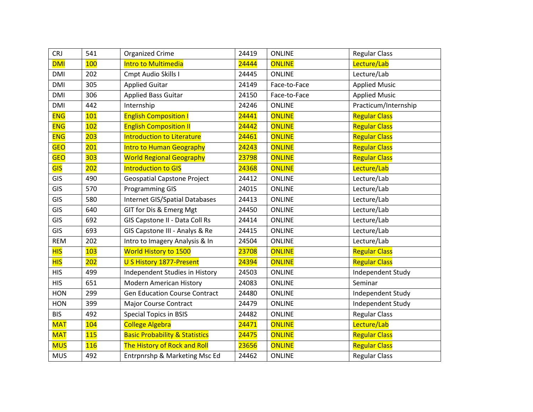| <b>CRJ</b> | 541 | Organized Crime                           | 24419 | <b>ONLINE</b> | <b>Regular Class</b> |
|------------|-----|-------------------------------------------|-------|---------------|----------------------|
| <b>DMI</b> | 100 | Intro to Multimedia                       | 24444 | <b>ONLINE</b> | Lecture/Lab          |
| <b>DMI</b> | 202 | Cmpt Audio Skills I                       | 24445 | <b>ONLINE</b> | Lecture/Lab          |
| <b>DMI</b> | 305 | <b>Applied Guitar</b>                     | 24149 | Face-to-Face  | <b>Applied Music</b> |
| <b>DMI</b> | 306 | <b>Applied Bass Guitar</b>                | 24150 | Face-to-Face  | <b>Applied Music</b> |
| <b>DMI</b> | 442 | Internship                                | 24246 | <b>ONLINE</b> | Practicum/Internship |
| <b>ENG</b> | 101 | <b>English Composition I</b>              | 24441 | <b>ONLINE</b> | <b>Regular Class</b> |
| <b>ENG</b> | 102 | <b>English Composition II</b>             | 24442 | <b>ONLINE</b> | <b>Regular Class</b> |
| <b>ENG</b> | 203 | <b>Introduction to Literature</b>         | 24461 | <b>ONLINE</b> | <b>Regular Class</b> |
| <b>GEO</b> | 201 | <b>Intro to Human Geography</b>           | 24243 | <b>ONLINE</b> | <b>Regular Class</b> |
| <b>GEO</b> | 303 | <b>World Regional Geography</b>           | 23798 | <b>ONLINE</b> | <b>Regular Class</b> |
| <b>GIS</b> | 202 | <b>Introduction to GIS</b>                | 24368 | <b>ONLINE</b> | Lecture/Lab          |
| GIS        | 490 | <b>Geospatial Capstone Project</b>        | 24412 | <b>ONLINE</b> | Lecture/Lab          |
| GIS        | 570 | <b>Programming GIS</b>                    | 24015 | <b>ONLINE</b> | Lecture/Lab          |
| GIS        | 580 | <b>Internet GIS/Spatial Databases</b>     | 24413 | <b>ONLINE</b> | Lecture/Lab          |
| GIS        | 640 | GIT for Dis & Emerg Mgt                   | 24450 | <b>ONLINE</b> | Lecture/Lab          |
| GIS        | 692 | GIS Capstone II - Data Coll Rs            | 24414 | <b>ONLINE</b> | Lecture/Lab          |
| GIS        | 693 | GIS Capstone III - Analys & Re            | 24415 | <b>ONLINE</b> | Lecture/Lab          |
| <b>REM</b> | 202 | Intro to Imagery Analysis & In            | 24504 | <b>ONLINE</b> | Lecture/Lab          |
| <b>HIS</b> | 103 | World History to 1500                     | 23708 | <b>ONLINE</b> | <b>Regular Class</b> |
| <b>HIS</b> | 202 | U S History 1877-Present                  | 24394 | <b>ONLINE</b> | <b>Regular Class</b> |
| <b>HIS</b> | 499 | Independent Studies in History            | 24503 | <b>ONLINE</b> | Independent Study    |
| <b>HIS</b> | 651 | <b>Modern American History</b>            | 24083 | <b>ONLINE</b> | Seminar              |
| <b>HON</b> | 299 | <b>Gen Education Course Contract</b>      | 24480 | <b>ONLINE</b> | Independent Study    |
| HON        | 399 | Major Course Contract                     | 24479 | <b>ONLINE</b> | Independent Study    |
| <b>BIS</b> | 492 | <b>Special Topics in BSIS</b>             | 24482 | <b>ONLINE</b> | <b>Regular Class</b> |
| <b>MAT</b> | 104 | <b>College Algebra</b>                    | 24471 | <b>ONLINE</b> | Lecture/Lab          |
| <b>MAT</b> | 115 | <b>Basic Probability &amp; Statistics</b> | 24475 | <b>ONLINE</b> | <b>Regular Class</b> |
| <b>MUS</b> | 116 | The History of Rock and Roll              | 23656 | <b>ONLINE</b> | <b>Regular Class</b> |
| <b>MUS</b> | 492 | Entrpnrshp & Marketing Msc Ed             | 24462 | <b>ONLINE</b> | <b>Regular Class</b> |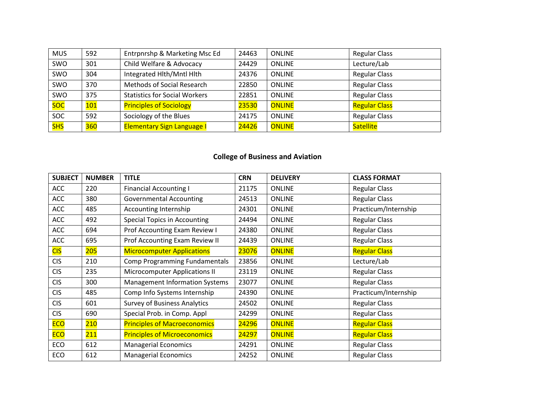| <b>MUS</b> | 592 | Entrpnrshp & Marketing Msc Ed        | 24463 | <b>ONLINE</b> | <b>Regular Class</b> |
|------------|-----|--------------------------------------|-------|---------------|----------------------|
| SWO        | 301 | Child Welfare & Advocacy             | 24429 | <b>ONLINE</b> | Lecture/Lab          |
| SWO        | 304 | Integrated Hlth/Mntl Hlth            | 24376 | <b>ONLINE</b> | <b>Regular Class</b> |
| <b>SWO</b> | 370 | Methods of Social Research           | 22850 | <b>ONLINE</b> | <b>Regular Class</b> |
| SWO        | 375 | <b>Statistics for Social Workers</b> | 22851 | <b>ONLINE</b> | <b>Regular Class</b> |
| soc        | 101 | <b>Principles of Sociology</b>       | 23530 | <b>ONLINE</b> | <b>Regular Class</b> |
| <b>SOC</b> | 592 | Sociology of the Blues               | 24175 | <b>ONLINE</b> | <b>Regular Class</b> |
| <b>SHS</b> | 360 | <b>Elementary Sign Language I</b>    | 24426 | ONLINE        | Satellite            |

## **College of Business and Aviation**

| <b>SUBJECT</b> | <b>NUMBER</b> | <b>TITLE</b>                          | <b>CRN</b> | <b>DELIVERY</b> | <b>CLASS FORMAT</b>  |
|----------------|---------------|---------------------------------------|------------|-----------------|----------------------|
| <b>ACC</b>     | 220           | <b>Financial Accounting I</b>         | 21175      | <b>ONLINE</b>   | <b>Regular Class</b> |
| <b>ACC</b>     | 380           | <b>Governmental Accounting</b>        | 24513      | <b>ONLINE</b>   | <b>Regular Class</b> |
| <b>ACC</b>     | 485           | Accounting Internship                 | 24301      | <b>ONLINE</b>   | Practicum/Internship |
| <b>ACC</b>     | 492           | <b>Special Topics in Accounting</b>   | 24494      | <b>ONLINE</b>   | <b>Regular Class</b> |
| ACC            | 694           | Prof Accounting Exam Review I         | 24380      | <b>ONLINE</b>   | <b>Regular Class</b> |
| <b>ACC</b>     | 695           | Prof Accounting Exam Review II        | 24439      | <b>ONLINE</b>   | <b>Regular Class</b> |
| <b>CIS</b>     | 205           | <b>Microcomputer Applications</b>     | 23076      | <b>ONLINE</b>   | <b>Regular Class</b> |
| <b>CIS</b>     | 210           | Comp Programming Fundamentals         | 23856      | <b>ONLINE</b>   | Lecture/Lab          |
| <b>CIS</b>     | 235           | <b>Microcomputer Applications II</b>  | 23119      | <b>ONLINE</b>   | <b>Regular Class</b> |
| <b>CIS</b>     | 300           | <b>Management Information Systems</b> | 23077      | <b>ONLINE</b>   | <b>Regular Class</b> |
| <b>CIS</b>     | 485           | Comp Info Systems Internship          | 24390      | <b>ONLINE</b>   | Practicum/Internship |
| <b>CIS</b>     | 601           | <b>Survey of Business Analytics</b>   | 24502      | <b>ONLINE</b>   | <b>Regular Class</b> |
| <b>CIS</b>     | 690           | Special Prob. in Comp. Appl           | 24299      | <b>ONLINE</b>   | <b>Regular Class</b> |
| <b>ECO</b>     | 210           | <b>Principles of Macroeconomics</b>   | 24296      | <b>ONLINE</b>   | <b>Regular Class</b> |
| <b>ECO</b>     | 211           | <b>Principles of Microeconomics</b>   | 24297      | <b>ONLINE</b>   | <b>Regular Class</b> |
| ECO            | 612           | <b>Managerial Economics</b>           | 24291      | <b>ONLINE</b>   | <b>Regular Class</b> |
| ECO            | 612           | <b>Managerial Economics</b>           | 24252      | <b>ONLINE</b>   | <b>Regular Class</b> |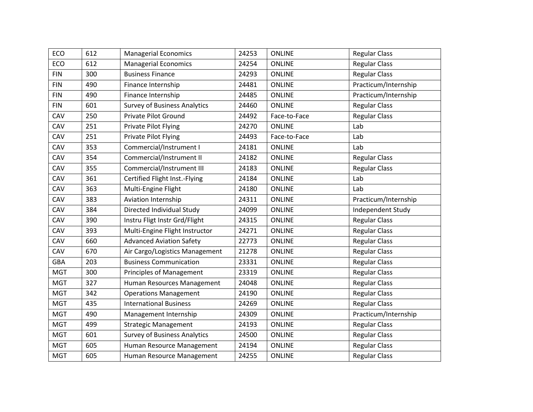| ECO        | 612 | <b>Managerial Economics</b>         | 24253 | <b>ONLINE</b> | <b>Regular Class</b> |
|------------|-----|-------------------------------------|-------|---------------|----------------------|
| ECO        | 612 | <b>Managerial Economics</b>         | 24254 | <b>ONLINE</b> | <b>Regular Class</b> |
| <b>FIN</b> | 300 | <b>Business Finance</b>             | 24293 | <b>ONLINE</b> | <b>Regular Class</b> |
| <b>FIN</b> | 490 | Finance Internship                  | 24481 | <b>ONLINE</b> | Practicum/Internship |
| <b>FIN</b> | 490 | Finance Internship                  | 24485 | <b>ONLINE</b> | Practicum/Internship |
| <b>FIN</b> | 601 | <b>Survey of Business Analytics</b> | 24460 | <b>ONLINE</b> | <b>Regular Class</b> |
| CAV        | 250 | Private Pilot Ground                | 24492 | Face-to-Face  | <b>Regular Class</b> |
| CAV        | 251 | Private Pilot Flying                | 24270 | <b>ONLINE</b> | Lab                  |
| CAV        | 251 | Private Pilot Flying                | 24493 | Face-to-Face  | Lab                  |
| CAV        | 353 | Commercial/Instrument I             | 24181 | <b>ONLINE</b> | Lab                  |
| CAV        | 354 | Commercial/Instrument II            | 24182 | <b>ONLINE</b> | <b>Regular Class</b> |
| CAV        | 355 | Commercial/Instrument III           | 24183 | <b>ONLINE</b> | <b>Regular Class</b> |
| CAV        | 361 | Certified Flight Inst.-Flying       | 24184 | <b>ONLINE</b> | Lab                  |
| CAV        | 363 | Multi-Engine Flight                 | 24180 | <b>ONLINE</b> | Lab                  |
| CAV        | 383 | Aviation Internship                 | 24311 | <b>ONLINE</b> | Practicum/Internship |
| CAV        | 384 | Directed Individual Study           | 24099 | <b>ONLINE</b> | Independent Study    |
| CAV        | 390 | Instru Fligt Instr Grd/Flight       | 24315 | <b>ONLINE</b> | <b>Regular Class</b> |
| CAV        | 393 | Multi-Engine Flight Instructor      | 24271 | <b>ONLINE</b> | <b>Regular Class</b> |
| CAV        | 660 | <b>Advanced Aviation Safety</b>     | 22773 | <b>ONLINE</b> | <b>Regular Class</b> |
| CAV        | 670 | Air Cargo/Logistics Management      | 21278 | <b>ONLINE</b> | <b>Regular Class</b> |
| <b>GBA</b> | 203 | <b>Business Communication</b>       | 23331 | <b>ONLINE</b> | <b>Regular Class</b> |
| <b>MGT</b> | 300 | <b>Principles of Management</b>     | 23319 | <b>ONLINE</b> | <b>Regular Class</b> |
| <b>MGT</b> | 327 | Human Resources Management          | 24048 | <b>ONLINE</b> | <b>Regular Class</b> |
| <b>MGT</b> | 342 | <b>Operations Management</b>        | 24190 | <b>ONLINE</b> | <b>Regular Class</b> |
| <b>MGT</b> | 435 | <b>International Business</b>       | 24269 | <b>ONLINE</b> | <b>Regular Class</b> |
| <b>MGT</b> | 490 | Management Internship               | 24309 | <b>ONLINE</b> | Practicum/Internship |
| <b>MGT</b> | 499 | <b>Strategic Management</b>         | 24193 | <b>ONLINE</b> | <b>Regular Class</b> |
| <b>MGT</b> | 601 | <b>Survey of Business Analytics</b> | 24500 | <b>ONLINE</b> | <b>Regular Class</b> |
| <b>MGT</b> | 605 | Human Resource Management           | 24194 | <b>ONLINE</b> | <b>Regular Class</b> |
| <b>MGT</b> | 605 | Human Resource Management           | 24255 | <b>ONLINE</b> | <b>Regular Class</b> |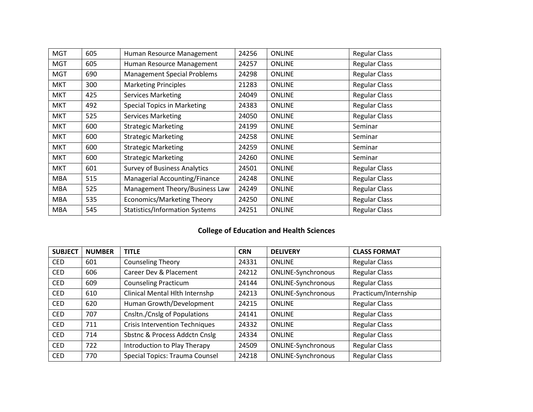| <b>MGT</b> | 605 | Human Resource Management             | 24256 | <b>ONLINE</b> | <b>Regular Class</b> |
|------------|-----|---------------------------------------|-------|---------------|----------------------|
| <b>MGT</b> | 605 | Human Resource Management             | 24257 | <b>ONLINE</b> | <b>Regular Class</b> |
| <b>MGT</b> | 690 | <b>Management Special Problems</b>    | 24298 | <b>ONLINE</b> | <b>Regular Class</b> |
| <b>MKT</b> | 300 | <b>Marketing Principles</b>           | 21283 | <b>ONLINE</b> | <b>Regular Class</b> |
| <b>MKT</b> | 425 | <b>Services Marketing</b>             | 24049 | <b>ONLINE</b> | <b>Regular Class</b> |
| <b>MKT</b> | 492 | <b>Special Topics in Marketing</b>    | 24383 | <b>ONLINE</b> | <b>Regular Class</b> |
| <b>MKT</b> | 525 | <b>Services Marketing</b>             | 24050 | <b>ONLINE</b> | <b>Regular Class</b> |
| MKT        | 600 | <b>Strategic Marketing</b>            | 24199 | <b>ONLINE</b> | Seminar              |
| <b>MKT</b> | 600 | <b>Strategic Marketing</b>            | 24258 | <b>ONLINE</b> | Seminar              |
| <b>MKT</b> | 600 | <b>Strategic Marketing</b>            | 24259 | <b>ONLINE</b> | Seminar              |
| <b>MKT</b> | 600 | <b>Strategic Marketing</b>            | 24260 | <b>ONLINE</b> | Seminar              |
| MKT        | 601 | <b>Survey of Business Analytics</b>   | 24501 | <b>ONLINE</b> | <b>Regular Class</b> |
| <b>MBA</b> | 515 | Managerial Accounting/Finance         | 24248 | <b>ONLINE</b> | <b>Regular Class</b> |
| MBA        | 525 | Management Theory/Business Law        | 24249 | <b>ONLINE</b> | <b>Regular Class</b> |
| <b>MBA</b> | 535 | Economics/Marketing Theory            | 24250 | <b>ONLINE</b> | <b>Regular Class</b> |
| <b>MBA</b> | 545 | <b>Statistics/Information Systems</b> | 24251 | <b>ONLINE</b> | <b>Regular Class</b> |

# **College of Education and Health Sciences**

| <b>SUBJECT</b> | <b>NUMBER</b> | <b>TITLE</b>                          | <b>CRN</b> | <b>DELIVERY</b>           | <b>CLASS FORMAT</b>  |
|----------------|---------------|---------------------------------------|------------|---------------------------|----------------------|
| <b>CED</b>     | 601           | <b>Counseling Theory</b>              | 24331      | <b>ONLINE</b>             | <b>Regular Class</b> |
| <b>CED</b>     | 606           | Career Dev & Placement                | 24212      | <b>ONLINE-Synchronous</b> | <b>Regular Class</b> |
| <b>CED</b>     | 609           | <b>Counseling Practicum</b>           | 24144      | <b>ONLINE-Synchronous</b> | <b>Regular Class</b> |
| <b>CED</b>     | 610           | Clinical Mental Hlth Internshp        | 24213      | <b>ONLINE-Synchronous</b> | Practicum/Internship |
| <b>CED</b>     | 620           | Human Growth/Development              | 24215      | <b>ONLINE</b>             | <b>Regular Class</b> |
| <b>CED</b>     | 707           | Cnsltn./Cnslg of Populations          | 24141      | <b>ONLINE</b>             | <b>Regular Class</b> |
| <b>CED</b>     | 711           | <b>Crisis Intervention Techniques</b> | 24332      | <b>ONLINE</b>             | <b>Regular Class</b> |
| <b>CED</b>     | 714           | Sbstnc & Process Addctn Cnslg         | 24334      | <b>ONLINE</b>             | <b>Regular Class</b> |
| <b>CED</b>     | 722           | Introduction to Play Therapy          | 24509      | ONLINE-Synchronous        | <b>Regular Class</b> |
| <b>CED</b>     | 770           | Special Topics: Trauma Counsel        | 24218      | <b>ONLINE-Synchronous</b> | <b>Regular Class</b> |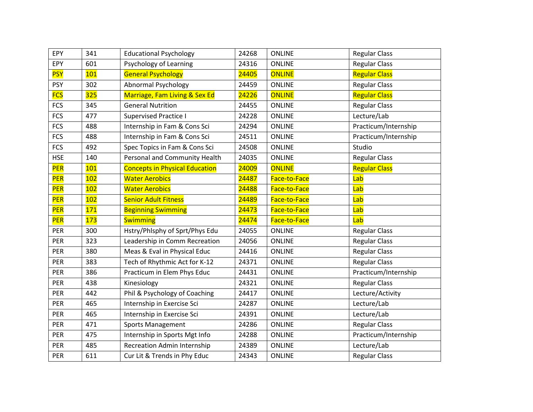| EPY        | 341 | <b>Educational Psychology</b>         | 24268 | <b>ONLINE</b> | <b>Regular Class</b> |
|------------|-----|---------------------------------------|-------|---------------|----------------------|
| EPY        | 601 | Psychology of Learning                | 24316 | <b>ONLINE</b> | <b>Regular Class</b> |
| <b>PSY</b> | 101 | <b>General Psychology</b>             | 24405 | <b>ONLINE</b> | <b>Regular Class</b> |
| <b>PSY</b> | 302 | <b>Abnormal Psychology</b>            | 24459 | <b>ONLINE</b> | <b>Regular Class</b> |
| <b>FCS</b> | 325 | Marriage, Fam Living & Sex Ed         | 24226 | <b>ONLINE</b> | <b>Regular Class</b> |
| <b>FCS</b> | 345 | <b>General Nutrition</b>              | 24455 | <b>ONLINE</b> | <b>Regular Class</b> |
| <b>FCS</b> | 477 | <b>Supervised Practice I</b>          | 24228 | <b>ONLINE</b> | Lecture/Lab          |
| <b>FCS</b> | 488 | Internship in Fam & Cons Sci          | 24294 | <b>ONLINE</b> | Practicum/Internship |
| <b>FCS</b> | 488 | Internship in Fam & Cons Sci          | 24511 | <b>ONLINE</b> | Practicum/Internship |
| <b>FCS</b> | 492 | Spec Topics in Fam & Cons Sci         | 24508 | <b>ONLINE</b> | Studio               |
| <b>HSE</b> | 140 | Personal and Community Health         | 24035 | <b>ONLINE</b> | <b>Regular Class</b> |
| PER        | 101 | <b>Concepts in Physical Education</b> | 24009 | <b>ONLINE</b> | <b>Regular Class</b> |
| <b>PER</b> | 102 | <b>Water Aerobics</b>                 | 24487 | Face-to-Face  | Lab                  |
| PER        | 102 | <b>Water Aerobics</b>                 | 24488 | Face-to-Face  | Lab                  |
| <b>PER</b> | 102 | <b>Senior Adult Fitness</b>           | 24489 | Face-to-Face  | Lab                  |
|            |     |                                       |       |               |                      |
| <b>PER</b> | 171 | <b>Beginning Swimming</b>             | 24473 | Face-to-Face  | Lab                  |
| PER        | 173 | <b>Swimming</b>                       | 24474 | Face-to-Face  | Lab                  |
| PER        | 300 | Hstry/Phlsphy of Sprt/Phys Edu        | 24055 | <b>ONLINE</b> | <b>Regular Class</b> |
| PER        | 323 | Leadership in Comm Recreation         | 24056 | <b>ONLINE</b> | <b>Regular Class</b> |
| <b>PER</b> | 380 | Meas & Eval in Physical Educ          | 24416 | <b>ONLINE</b> | <b>Regular Class</b> |
| PER        | 383 | Tech of Rhythmic Act for K-12         | 24371 | <b>ONLINE</b> | <b>Regular Class</b> |
| <b>PER</b> | 386 | Practicum in Elem Phys Educ           | 24431 | <b>ONLINE</b> | Practicum/Internship |
| PER        | 438 | Kinesiology                           | 24321 | <b>ONLINE</b> | <b>Regular Class</b> |
| PER        | 442 | Phil & Psychology of Coaching         | 24417 | <b>ONLINE</b> | Lecture/Activity     |
| PER        | 465 | Internship in Exercise Sci            | 24287 | <b>ONLINE</b> | Lecture/Lab          |
| PER        | 465 | Internship in Exercise Sci            | 24391 | <b>ONLINE</b> | Lecture/Lab          |
| <b>PER</b> | 471 | <b>Sports Management</b>              | 24286 | <b>ONLINE</b> | <b>Regular Class</b> |
| <b>PER</b> | 475 | Internship in Sports Mgt Info         | 24288 | <b>ONLINE</b> | Practicum/Internship |
| PER        | 485 | <b>Recreation Admin Internship</b>    | 24389 | <b>ONLINE</b> | Lecture/Lab          |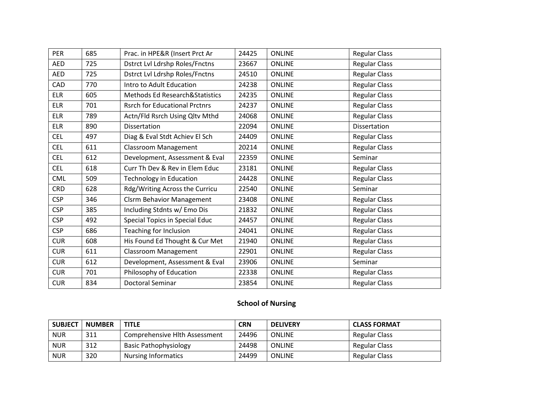| <b>PER</b> | 685 | Prac. in HPE&R (Insert Prct Ar            | 24425 | <b>ONLINE</b> | <b>Regular Class</b> |
|------------|-----|-------------------------------------------|-------|---------------|----------------------|
| AED        | 725 | <b>Dstrct Lvl Ldrshp Roles/Fnctns</b>     | 23667 | <b>ONLINE</b> | <b>Regular Class</b> |
| <b>AED</b> | 725 | <b>Dstrct Lvl Ldrshp Roles/Fnctns</b>     | 24510 | <b>ONLINE</b> | <b>Regular Class</b> |
| <b>CAD</b> | 770 | Intro to Adult Education                  | 24238 | <b>ONLINE</b> | <b>Regular Class</b> |
| <b>ELR</b> | 605 | <b>Methods Ed Research&amp;Statistics</b> | 24235 | <b>ONLINE</b> | <b>Regular Class</b> |
| <b>ELR</b> | 701 | <b>Rsrch for Educational Prctnrs</b>      | 24237 | <b>ONLINE</b> | <b>Regular Class</b> |
| <b>ELR</b> | 789 | Actn/Fld Rsrch Using Qltv Mthd            | 24068 | <b>ONLINE</b> | <b>Regular Class</b> |
| <b>ELR</b> | 890 | Dissertation                              | 22094 | <b>ONLINE</b> | Dissertation         |
| <b>CEL</b> | 497 | Diag & Eval Stdt Achiev El Sch            | 24409 | <b>ONLINE</b> | <b>Regular Class</b> |
| <b>CEL</b> | 611 | <b>Classroom Management</b>               | 20214 | <b>ONLINE</b> | <b>Regular Class</b> |
| <b>CEL</b> | 612 | Development, Assessment & Eval            | 22359 | <b>ONLINE</b> | Seminar              |
| <b>CEL</b> | 618 | Curr Th Dev & Rev in Elem Educ            | 23181 | <b>ONLINE</b> | <b>Regular Class</b> |
| <b>CML</b> | 509 | <b>Technology in Education</b>            | 24428 | <b>ONLINE</b> | <b>Regular Class</b> |
| <b>CRD</b> | 628 | Rdg/Writing Across the Curricu            | 22540 | <b>ONLINE</b> | Seminar              |
| <b>CSP</b> | 346 | <b>Clsrm Behavior Management</b>          | 23408 | <b>ONLINE</b> | <b>Regular Class</b> |
| <b>CSP</b> | 385 | Including Stdnts w/ Emo Dis               | 21832 | <b>ONLINE</b> | <b>Regular Class</b> |
| <b>CSP</b> | 492 | Special Topics in Special Educ            | 24457 | <b>ONLINE</b> | <b>Regular Class</b> |
| <b>CSP</b> | 686 | Teaching for Inclusion                    | 24041 | <b>ONLINE</b> | <b>Regular Class</b> |
| <b>CUR</b> | 608 | His Found Ed Thought & Cur Met            | 21940 | <b>ONLINE</b> | <b>Regular Class</b> |
| <b>CUR</b> | 611 | <b>Classroom Management</b>               | 22901 | <b>ONLINE</b> | <b>Regular Class</b> |
| <b>CUR</b> | 612 | Development, Assessment & Eval            | 23906 | <b>ONLINE</b> | Seminar              |
| <b>CUR</b> | 701 | Philosophy of Education                   | 22338 | <b>ONLINE</b> | <b>Regular Class</b> |
| <b>CUR</b> | 834 | <b>Doctoral Seminar</b>                   | 23854 | <b>ONLINE</b> | <b>Regular Class</b> |

## **School of Nursing**

| <b>SUBJECT</b> | <b>NUMBER</b> | TITLE                         | <b>CRN</b> | <b>DELIVERY</b> | <b>CLASS FORMAT</b>  |
|----------------|---------------|-------------------------------|------------|-----------------|----------------------|
| <b>NUR</b>     | 311           | Comprehensive Hlth Assessment | 24496      | <b>ONLINE</b>   | Regular Class        |
| <b>NUR</b>     | 312           | <b>Basic Pathophysiology</b>  | 24498      | <b>ONLINE</b>   | <b>Regular Class</b> |
| <b>NUR</b>     | 320           | <b>Nursing Informatics</b>    | 24499      | <b>ONLINE</b>   | Regular Class        |